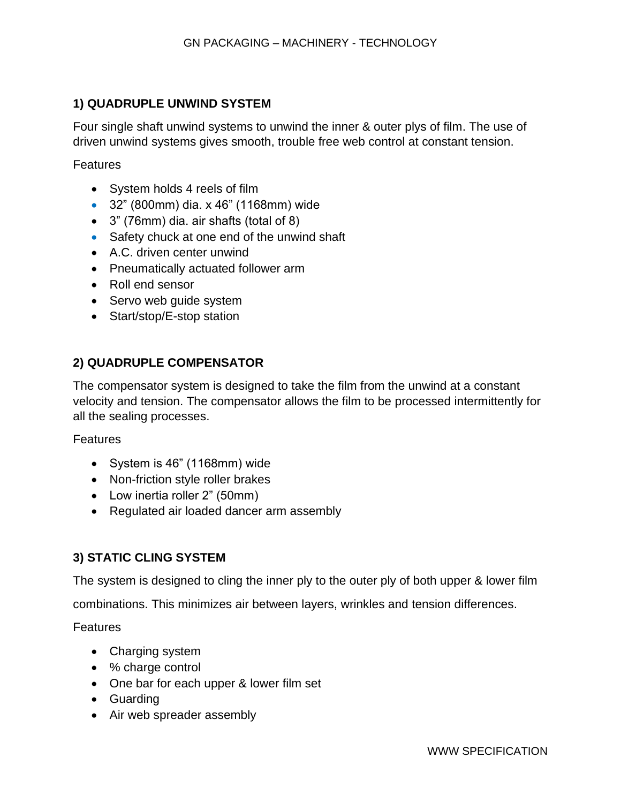## **1) QUADRUPLE UNWIND SYSTEM**

Four single shaft unwind systems to unwind the inner & outer plys of film. The use of driven unwind systems gives smooth, trouble free web control at constant tension.

Features

- System holds 4 reels of film
- 32" (800mm) dia. x 46" (1168mm) wide
- 3" (76mm) dia. air shafts (total of 8)
- Safety chuck at one end of the unwind shaft
- A.C. driven center unwind
- Pneumatically actuated follower arm
- Roll end sensor
- Servo web guide system
- Start/stop/E-stop station

## **2) QUADRUPLE COMPENSATOR**

The compensator system is designed to take the film from the unwind at a constant velocity and tension. The compensator allows the film to be processed intermittently for all the sealing processes.

Features

- System is 46" (1168mm) wide
- Non-friction style roller brakes
- Low inertia roller 2" (50mm)
- Regulated air loaded dancer arm assembly

## **3) STATIC CLING SYSTEM**

The system is designed to cling the inner ply to the outer ply of both upper & lower film

combinations. This minimizes air between layers, wrinkles and tension differences.

- Charging system
- % charge control
- One bar for each upper & lower film set
- Guarding
- Air web spreader assembly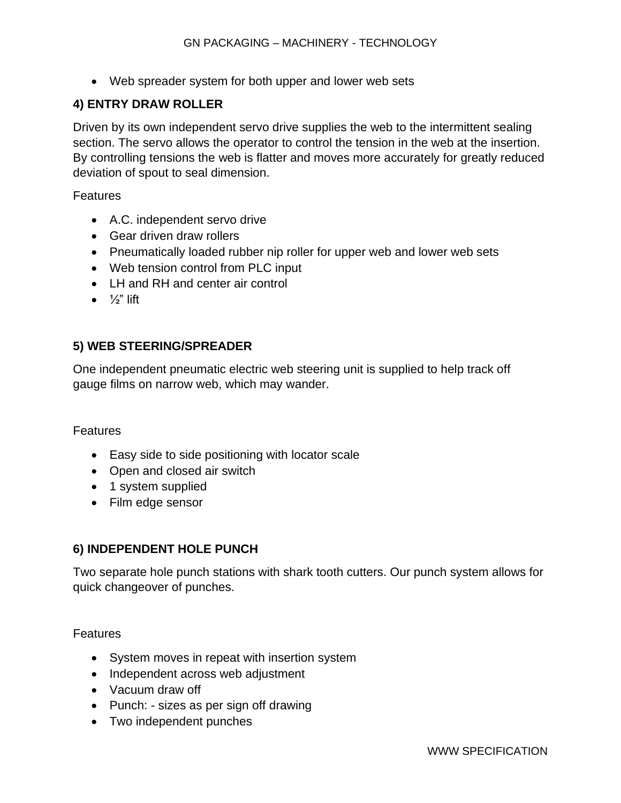• Web spreader system for both upper and lower web sets

#### **4) ENTRY DRAW ROLLER**

Driven by its own independent servo drive supplies the web to the intermittent sealing section. The servo allows the operator to control the tension in the web at the insertion. By controlling tensions the web is flatter and moves more accurately for greatly reduced deviation of spout to seal dimension.

Features

- A.C. independent servo drive
- Gear driven draw rollers
- Pneumatically loaded rubber nip roller for upper web and lower web sets
- Web tension control from PLC input
- LH and RH and center air control
- $\bullet$   $\frac{1}{2}$ " lift

#### **5) WEB STEERING/SPREADER**

One independent pneumatic electric web steering unit is supplied to help track off gauge films on narrow web, which may wander.

#### Features

- Easy side to side positioning with locator scale
- Open and closed air switch
- 1 system supplied
- Film edge sensor

## **6) INDEPENDENT HOLE PUNCH**

Two separate hole punch stations with shark tooth cutters. Our punch system allows for quick changeover of punches.

- System moves in repeat with insertion system
- Independent across web adjustment
- Vacuum draw off
- Punch: sizes as per sign off drawing
- Two independent punches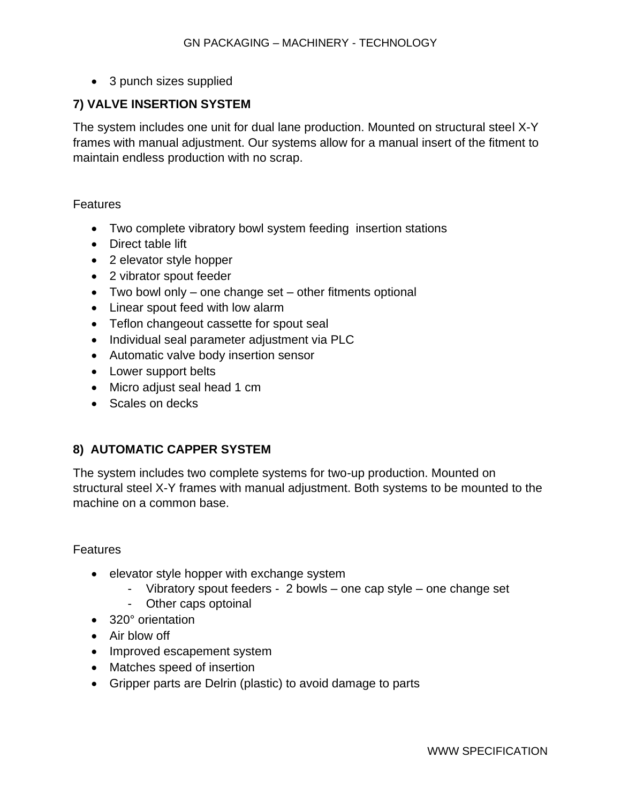• 3 punch sizes supplied

## **7) VALVE INSERTION SYSTEM**

The system includes one unit for dual lane production. Mounted on structural steel X-Y frames with manual adjustment. Our systems allow for a manual insert of the fitment to maintain endless production with no scrap.

#### Features

- Two complete vibratory bowl system feeding insertion stations
- Direct table lift
- 2 elevator style hopper
- 2 vibrator spout feeder
- Two bowl only one change set other fitments optional
- Linear spout feed with low alarm
- Teflon changeout cassette for spout seal
- Individual seal parameter adjustment via PLC
- Automatic valve body insertion sensor
- Lower support belts
- Micro adjust seal head 1 cm
- Scales on decks

## **8) AUTOMATIC CAPPER SYSTEM**

The system includes two complete systems for two-up production. Mounted on structural steel X-Y frames with manual adjustment. Both systems to be mounted to the machine on a common base.

- elevator style hopper with exchange system
	- Vibratory spout feeders 2 bowls one cap style one change set
	- Other caps optoinal
- 320° orientation
- Air blow off
- Improved escapement system
- Matches speed of insertion
- Gripper parts are Delrin (plastic) to avoid damage to parts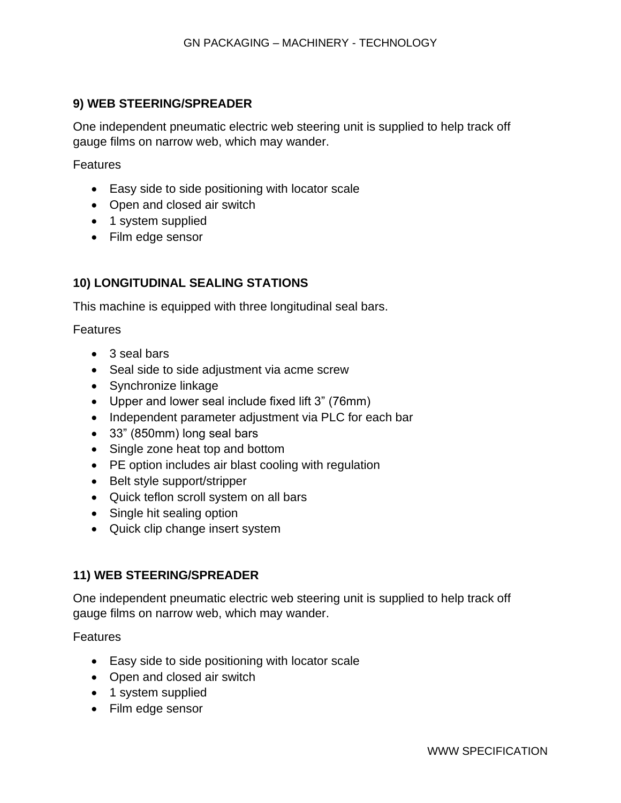## **9) WEB STEERING/SPREADER**

One independent pneumatic electric web steering unit is supplied to help track off gauge films on narrow web, which may wander.

Features

- Easy side to side positioning with locator scale
- Open and closed air switch
- 1 system supplied
- Film edge sensor

## **10) LONGITUDINAL SEALING STATIONS**

This machine is equipped with three longitudinal seal bars.

Features

- 3 seal bars
- Seal side to side adjustment via acme screw
- Synchronize linkage
- Upper and lower seal include fixed lift 3" (76mm)
- Independent parameter adjustment via PLC for each bar
- 33" (850mm) long seal bars
- Single zone heat top and bottom
- PE option includes air blast cooling with regulation
- Belt style support/stripper
- Quick teflon scroll system on all bars
- Single hit sealing option
- Quick clip change insert system

## **11) WEB STEERING/SPREADER**

One independent pneumatic electric web steering unit is supplied to help track off gauge films on narrow web, which may wander.

- Easy side to side positioning with locator scale
- Open and closed air switch
- 1 system supplied
- Film edge sensor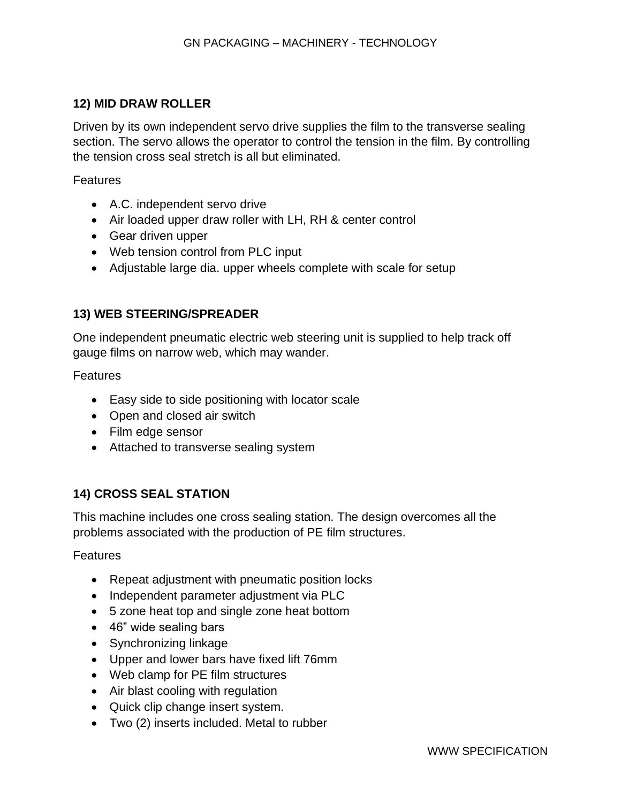## **12) MID DRAW ROLLER**

Driven by its own independent servo drive supplies the film to the transverse sealing section. The servo allows the operator to control the tension in the film. By controlling the tension cross seal stretch is all but eliminated.

Features

- A.C. independent servo drive
- Air loaded upper draw roller with LH, RH & center control
- Gear driven upper
- Web tension control from PLC input
- Adjustable large dia. upper wheels complete with scale for setup

## **13) WEB STEERING/SPREADER**

One independent pneumatic electric web steering unit is supplied to help track off gauge films on narrow web, which may wander.

Features

- Easy side to side positioning with locator scale
- Open and closed air switch
- Film edge sensor
- Attached to transverse sealing system

## **14) CROSS SEAL STATION**

This machine includes one cross sealing station. The design overcomes all the problems associated with the production of PE film structures.

- Repeat adjustment with pneumatic position locks
- Independent parameter adjustment via PLC
- 5 zone heat top and single zone heat bottom
- 46" wide sealing bars
- Synchronizing linkage
- Upper and lower bars have fixed lift 76mm
- Web clamp for PE film structures
- Air blast cooling with regulation
- Quick clip change insert system.
- Two (2) inserts included. Metal to rubber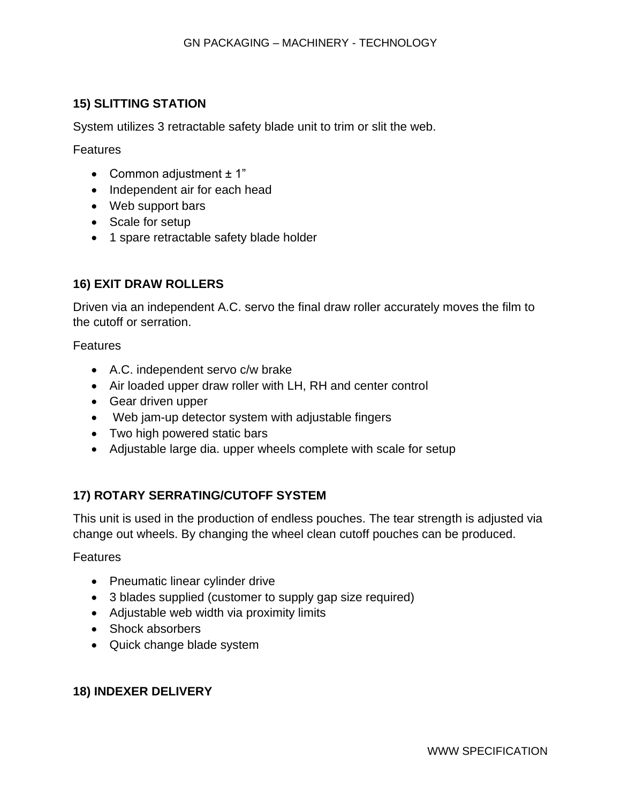## **15) SLITTING STATION**

System utilizes 3 retractable safety blade unit to trim or slit the web.

Features

- Common adjustment  $\pm$  1"
- Independent air for each head
- Web support bars
- Scale for setup
- 1 spare retractable safety blade holder

# **16) EXIT DRAW ROLLERS**

Driven via an independent A.C. servo the final draw roller accurately moves the film to the cutoff or serration.

Features

- A.C. independent servo c/w brake
- Air loaded upper draw roller with LH, RH and center control
- Gear driven upper
- Web jam-up detector system with adjustable fingers
- Two high powered static bars
- Adjustable large dia. upper wheels complete with scale for setup

# **17) ROTARY SERRATING/CUTOFF SYSTEM**

This unit is used in the production of endless pouches. The tear strength is adjusted via change out wheels. By changing the wheel clean cutoff pouches can be produced.

Features

- Pneumatic linear cylinder drive
- 3 blades supplied (customer to supply gap size required)
- Adjustable web width via proximity limits
- Shock absorbers
- Quick change blade system

# **18) INDEXER DELIVERY**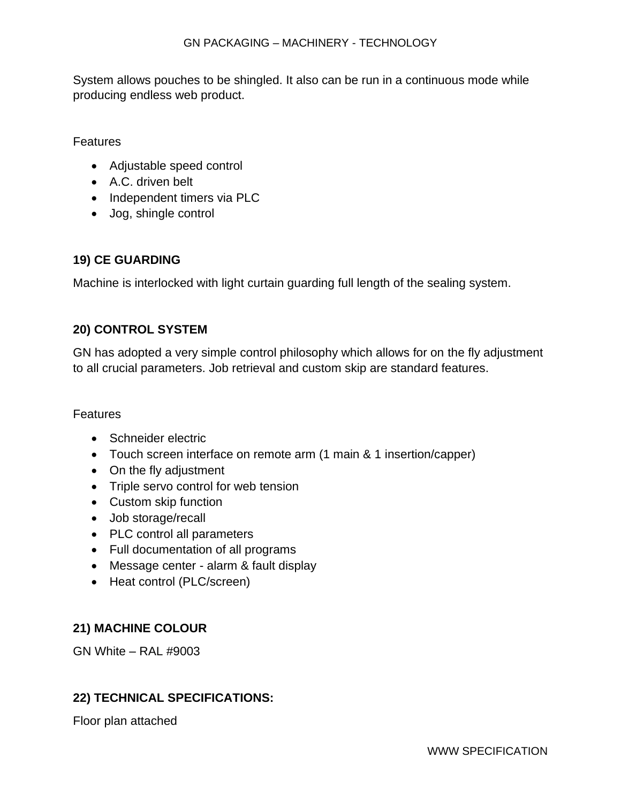System allows pouches to be shingled. It also can be run in a continuous mode while producing endless web product.

Features

- Adjustable speed control
- A.C. driven belt
- Independent timers via PLC
- Jog, shingle control

## **19) CE GUARDING**

Machine is interlocked with light curtain guarding full length of the sealing system.

## **20) CONTROL SYSTEM**

GN has adopted a very simple control philosophy which allows for on the fly adjustment to all crucial parameters. Job retrieval and custom skip are standard features.

## Features

- Schneider electric
- Touch screen interface on remote arm (1 main & 1 insertion/capper)
- On the fly adjustment
- Triple servo control for web tension
- Custom skip function
- Job storage/recall
- PLC control all parameters
- Full documentation of all programs
- Message center alarm & fault display
- Heat control (PLC/screen)

# **21) MACHINE COLOUR**

GN White – RAL #9003

## **22) TECHNICAL SPECIFICATIONS:**

Floor plan attached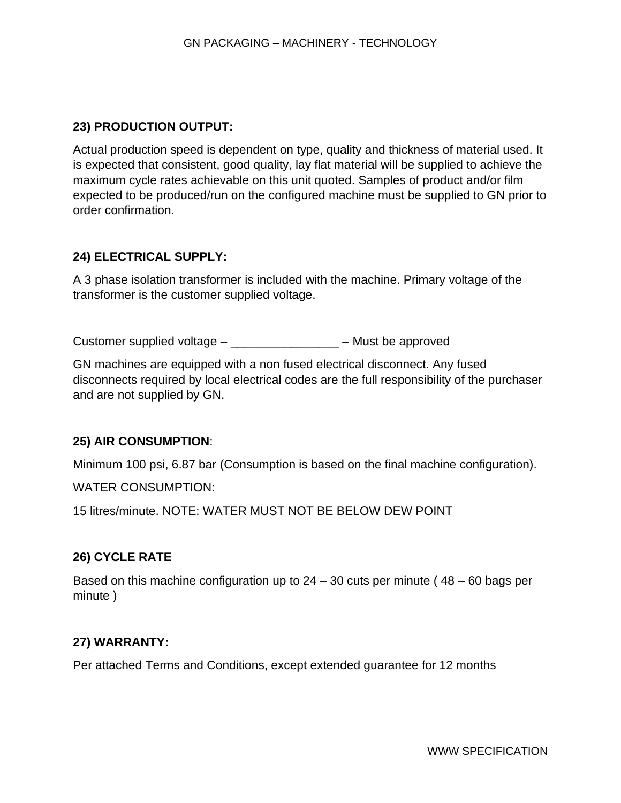## **23) PRODUCTION OUTPUT:**

Actual production speed is dependent on type, quality and thickness of material used. It is expected that consistent, good quality, lay flat material will be supplied to achieve the maximum cycle rates achievable on this unit quoted. Samples of product and/or film expected to be produced/run on the configured machine must be supplied to GN prior to order confirmation.

## **24) ELECTRICAL SUPPLY:**

A 3 phase isolation transformer is included with the machine. Primary voltage of the transformer is the customer supplied voltage.

Customer supplied voltage – \_\_\_\_\_\_\_\_\_\_\_\_\_\_\_\_ – Must be approved

GN machines are equipped with a non fused electrical disconnect. Any fused disconnects required by local electrical codes are the full responsibility of the purchaser and are not supplied by GN.

## **25) AIR CONSUMPTION**:

Minimum 100 psi, 6.87 bar (Consumption is based on the final machine configuration).

WATER CONSUMPTION:

15 litres/minute. NOTE: WATER MUST NOT BE BELOW DEW POINT

## **26) CYCLE RATE**

Based on this machine configuration up to 24 – 30 cuts per minute ( 48 – 60 bags per minute )

## **27) WARRANTY:**

Per attached Terms and Conditions, except extended guarantee for 12 months